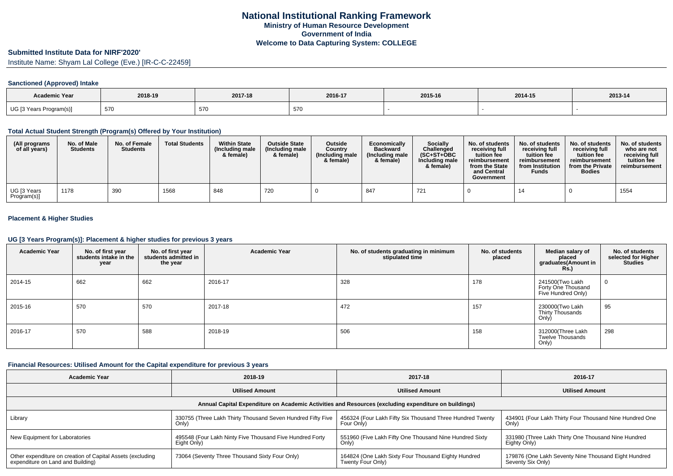### **Submitted Institute Data for NIRF'2020'**

Institute Name: Shyam Lal College (Eve.) [IR-C-C-22459]

## **Sanctioned (Approved) Intake**

| <b>Academic Year</b>    | 2018-19 | 2017-18 | 2016-17 | 2015-16 | 2014-15 | 2013-14 |
|-------------------------|---------|---------|---------|---------|---------|---------|
| UG [3 Years Program(s)] | 570     | 570     | 570     |         |         |         |

### **Total Actual Student Strength (Program(s) Offered by Your Institution)**

| (All programs<br>of all years) | No. of Male<br><b>Students</b> | No. of Female<br><b>Students</b> | <b>Total Students</b> | <b>Within State</b><br>(Including male<br>& female) | <b>Outside State</b><br>(Including male<br>& female) | <b>Outside</b><br>Country<br>(Including male<br>& female) | Economically<br><b>Backward</b><br>(Including male)<br>& female) | Socially<br>Challenged<br>$(SC+ST+OBC$<br>Including male<br>& female) | No. of students<br>receiving full<br>tuition fee<br>reimbursement<br>from the State<br>and Central<br>Government | No. of students<br>receiving full<br>tuition fee<br>reimbursement<br>from Institution<br><b>Funds</b> | No. of students<br>receiving full<br>tuition fee<br>reimbursement<br>from the Private<br><b>Bodies</b> | No. of students<br>who are not<br>receiving full<br>tuition fee<br>reimbursement |
|--------------------------------|--------------------------------|----------------------------------|-----------------------|-----------------------------------------------------|------------------------------------------------------|-----------------------------------------------------------|------------------------------------------------------------------|-----------------------------------------------------------------------|------------------------------------------------------------------------------------------------------------------|-------------------------------------------------------------------------------------------------------|--------------------------------------------------------------------------------------------------------|----------------------------------------------------------------------------------|
| UG [3 Years<br>Program(s)]     | 1178                           | 390                              | 1568                  | 848                                                 | 720                                                  |                                                           | 847                                                              | 721                                                                   |                                                                                                                  | 14                                                                                                    |                                                                                                        | 1554                                                                             |

## **Placement & Higher Studies**

### **UG [3 Years Program(s)]: Placement & higher studies for previous 3 years**

| <b>Academic Year</b> | No. of first year<br>students intake in the<br>year | No. of first year<br>students admitted in<br>the year | <b>Academic Year</b> | No. of students graduating in minimum<br>stipulated time | No. of students<br>placed | Median salary of<br>placed<br>graduates(Amount in<br><b>Rs.</b> ) | No. of students<br>selected for Higher<br><b>Studies</b> |
|----------------------|-----------------------------------------------------|-------------------------------------------------------|----------------------|----------------------------------------------------------|---------------------------|-------------------------------------------------------------------|----------------------------------------------------------|
| 2014-15              | 662                                                 | 662                                                   | 2016-17              | 328                                                      | 178                       | 241500(Two Lakh<br>Forty One Thousand<br>Five Hundred Only)       | $\overline{0}$                                           |
| 2015-16              | 570                                                 | 570                                                   | 2017-18              | 472                                                      | 157                       | 230000(Two Lakh<br>Thirty Thousands<br>Only)                      | 95                                                       |
| 2016-17              | 570                                                 | 588                                                   | 2018-19              | 506                                                      | 158                       | 312000(Three Lakh<br><b>Twelve Thousands</b><br>Only)             | 298                                                      |

#### **Financial Resources: Utilised Amount for the Capital expenditure for previous 3 years**

| <b>Academic Year</b>                                                                                 | 2018-19                                                     | 2017-18                                                   | 2016-17                                                 |  |  |  |  |  |  |  |  |
|------------------------------------------------------------------------------------------------------|-------------------------------------------------------------|-----------------------------------------------------------|---------------------------------------------------------|--|--|--|--|--|--|--|--|
|                                                                                                      | <b>Utilised Amount</b>                                      | <b>Utilised Amount</b>                                    | <b>Utilised Amount</b>                                  |  |  |  |  |  |  |  |  |
| Annual Capital Expenditure on Academic Activities and Resources (excluding expenditure on buildings) |                                                             |                                                           |                                                         |  |  |  |  |  |  |  |  |
| Library                                                                                              | 330755 (Three Lakh Thirty Thousand Seven Hundred Fifty Five | 456324 (Four Lakh Fifty Six Thousand Three Hundred Twenty | 434901 (Four Lakh Thirty Four Thousand Nine Hundred One |  |  |  |  |  |  |  |  |
|                                                                                                      | Only)                                                       | Four Only)                                                | Only)                                                   |  |  |  |  |  |  |  |  |
| New Equipment for Laboratories                                                                       | 495548 (Four Lakh Ninty Five Thousand Five Hundred Forty    | 551960 (Five Lakh Fifty One Thousand Nine Hundred Sixty   | 331980 (Three Lakh Thirty One Thousand Nine Hundred     |  |  |  |  |  |  |  |  |
|                                                                                                      | Eight Only)                                                 | Only)                                                     | Eighty Only)                                            |  |  |  |  |  |  |  |  |
| Other expenditure on creation of Capital Assets (excluding                                           | 73064 (Seventy Three Thousand Sixty Four Only)              | 164824 (One Lakh Sixty Four Thousand Eighty Hundred       | 179876 (One Lakh Seventy Nine Thousand Eight Hundred    |  |  |  |  |  |  |  |  |
| expenditure on Land and Building)                                                                    |                                                             | Twenty Four Only)                                         | Seventy Six Only)                                       |  |  |  |  |  |  |  |  |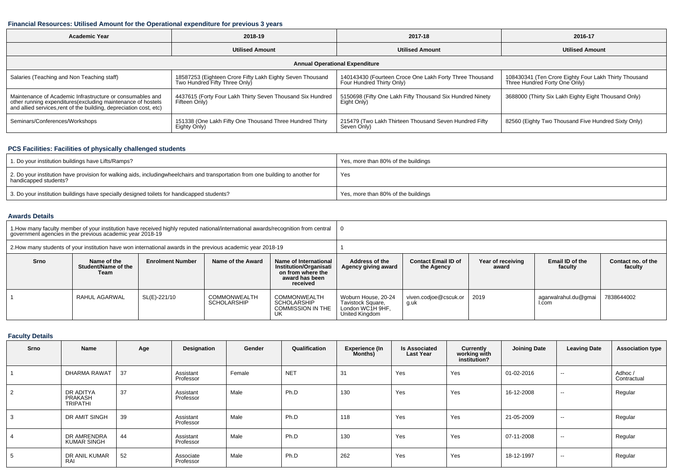## **Financial Resources: Utilised Amount for the Operational expenditure for previous 3 years**

| <b>Academic Year</b>                                                                                                                                                                            | 2018-19                                                                                    | 2017-18                                                                              | 2016-17                                                                                |  |  |  |  |  |  |  |  |  |
|-------------------------------------------------------------------------------------------------------------------------------------------------------------------------------------------------|--------------------------------------------------------------------------------------------|--------------------------------------------------------------------------------------|----------------------------------------------------------------------------------------|--|--|--|--|--|--|--|--|--|
|                                                                                                                                                                                                 | <b>Utilised Amount</b>                                                                     | <b>Utilised Amount</b>                                                               | <b>Utilised Amount</b>                                                                 |  |  |  |  |  |  |  |  |  |
| <b>Annual Operational Expenditure</b>                                                                                                                                                           |                                                                                            |                                                                                      |                                                                                        |  |  |  |  |  |  |  |  |  |
| Salaries (Teaching and Non Teaching staff)                                                                                                                                                      | 18587253 (Eighteen Crore Fifty Lakh Eighty Seven Thousand<br>Two Hundred Fifty Three Only) | 140143430 (Fourteen Croce One Lakh Forty Three Thousand<br>Four Hundred Thirty Only) | 108430341 (Ten Crore Eighty Four Lakh Thirty Thousand<br>Three Hundred Forty One Only) |  |  |  |  |  |  |  |  |  |
| Maintenance of Academic Infrastructure or consumables and<br>other running expenditures (excluding maintenance of hostels<br>and allied services, rent of the building, depreciation cost, etc) | 4437615 (Forty Four Lakh Thirty Seven Thousand Six Hundred<br>Fifteen Only)                | 5150698 (Fifty One Lakh Fifty Thousand Six Hundred Ninety<br>Eight Only)             | 3688000 (Thirty Six Lakh Eighty Eight Thousand Only)                                   |  |  |  |  |  |  |  |  |  |
| Seminars/Conferences/Workshops                                                                                                                                                                  | 151338 (One Lakh Fifty One Thousand Three Hundred Thirty<br>Eighty Only)                   | 215479 (Two Lakh Thirteen Thousand Seven Hundred Fifty<br>Seven Only)                | 82560 (Eighty Two Thousand Five Hundred Sixty Only)                                    |  |  |  |  |  |  |  |  |  |

# **PCS Facilities: Facilities of physically challenged students**

| 1. Do your institution buildings have Lifts/Ramps?                                                                                                        | Yes, more than 80% of the buildings |
|-----------------------------------------------------------------------------------------------------------------------------------------------------------|-------------------------------------|
| 2. Do your institution have provision for walking aids, includingwheelchairs and transportation from one building to another for<br>handicapped students? | Yes                                 |
| 3. Do your institution buildings have specially designed toilets for handicapped students?                                                                | Yes, more than 80% of the buildings |

## **Awards Details**

|                                                                                                                                                                                                                 | government agencies in the previous academic year 2018-19 |              | 1. How many faculty member of your institution have received highly reputed national/international awards/recognition from central |                                                                      |                                                                                |                                          |                            |                               |                               |  |  |
|-----------------------------------------------------------------------------------------------------------------------------------------------------------------------------------------------------------------|-----------------------------------------------------------|--------------|------------------------------------------------------------------------------------------------------------------------------------|----------------------------------------------------------------------|--------------------------------------------------------------------------------|------------------------------------------|----------------------------|-------------------------------|-------------------------------|--|--|
|                                                                                                                                                                                                                 |                                                           |              | 2. How many students of your institution have won international awards in the previous academic year 2018-19                       |                                                                      |                                                                                |                                          |                            |                               |                               |  |  |
| Srno<br><b>Enrolment Number</b><br>Name of the Award<br>Name of International<br>Name of the<br>Student/Name of the<br><b>Institution/Organisati</b><br>on from where the<br>Team<br>award has been<br>received |                                                           |              |                                                                                                                                    |                                                                      | Address of the<br>Agency giving award                                          | <b>Contact Email ID of</b><br>the Agency | Year of receiving<br>award | Email ID of the<br>faculty    | Contact no. of the<br>faculty |  |  |
|                                                                                                                                                                                                                 | RAHUL AGARWAL                                             | SL(E)-221/10 | <b>COMMONWEALTH</b><br><b>SCHOLARSHIP</b>                                                                                          | COMMONWEALTH<br><b>SCHOLARSHIP</b><br><b>COMMISSION IN THE</b><br>UK | Woburn House, 20-24<br>Tavistock Square,<br>London WC1H 9HF,<br>United Kingdom | viven.codjoe@cscuk.or<br>a.uk            | 2019                       | agarwalrahul.du@gmai<br>I.com | 7838644002                    |  |  |

# **Faculty Details**

| Srno | Name                                    | Age | Designation            | Gender | Qualification | <b>Experience (In</b><br><b>Months)</b> | <b>Is Associated</b><br><b>Last Year</b> | Currently<br>working with<br>institution? | <b>Joining Date</b> | <b>Leaving Date</b> | <b>Association type</b> |
|------|-----------------------------------------|-----|------------------------|--------|---------------|-----------------------------------------|------------------------------------------|-------------------------------------------|---------------------|---------------------|-------------------------|
|      | DHARMA RAWAT                            | 37  | Assistant<br>Professor | Female | <b>NET</b>    | 31                                      | Yes                                      | Yes                                       | 01-02-2016          | $\sim$              | Adhoc /<br>Contractual  |
| 2    | DR ADITYA<br>PRAKASH<br><b>TRIPATHI</b> | 37  | Assistant<br>Professor | Male   | Ph.D          | 130                                     | Yes                                      | Yes                                       | 16-12-2008          | $\sim$              | Regular                 |
|      | DR AMIT SINGH                           | 39  | Assistant<br>Professor | Male   | Ph.D          | 118                                     | Yes                                      | Yes                                       | 21-05-2009          | $\sim$              | Regular                 |
|      | DR AMRENDRA<br><b>KUMAR SINGH</b>       | 44  | Assistant<br>Professor | Male   | Ph.D          | 130                                     | Yes                                      | Yes                                       | 07-11-2008          | $\sim$              | Regular                 |
|      | DR ANIL KUMAR<br><b>RA</b>              | 52  | Associate<br>Professor | Male   | Ph.D          | 262                                     | Yes                                      | Yes                                       | 18-12-1997          | $\sim$              | Regular                 |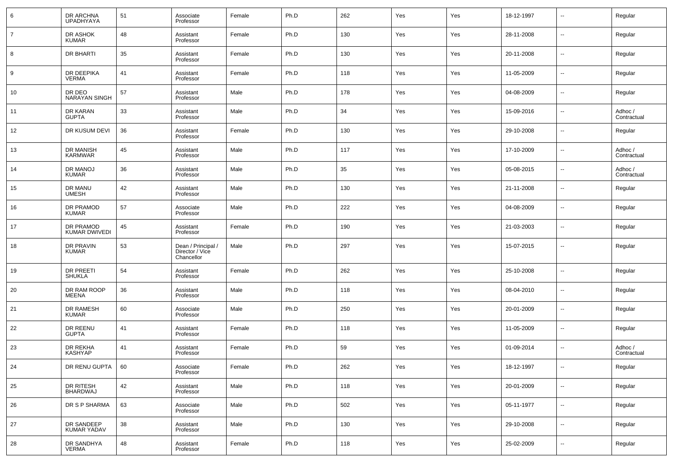| 6              | DR ARCHNA<br>UPADHYAYA            | 51 | Associate<br>Professor                              | Female | Ph.D | 262 | Yes | Yes | 18-12-1997 | --                       | Regular                |
|----------------|-----------------------------------|----|-----------------------------------------------------|--------|------|-----|-----|-----|------------|--------------------------|------------------------|
| $\overline{7}$ | DR ASHOK<br><b>KUMAR</b>          | 48 | Assistant<br>Professor                              | Female | Ph.D | 130 | Yes | Yes | 28-11-2008 | --                       | Regular                |
| 8              | <b>DR BHARTI</b>                  | 35 | Assistant<br>Professor                              | Female | Ph.D | 130 | Yes | Yes | 20-11-2008 | --                       | Regular                |
| 9              | DR DEEPIKA<br><b>VERMA</b>        | 41 | Assistant<br>Professor                              | Female | Ph.D | 118 | Yes | Yes | 11-05-2009 | --                       | Regular                |
| 10             | DR DEO<br>NARAYAN SINGH           | 57 | Assistant<br>Professor                              | Male   | Ph.D | 178 | Yes | Yes | 04-08-2009 | --                       | Regular                |
| 11             | DR KARAN<br>GUPTA                 | 33 | Assistant<br>Professor                              | Male   | Ph.D | 34  | Yes | Yes | 15-09-2016 | --                       | Adhoc /<br>Contractual |
| 12             | DR KUSUM DEVI                     | 36 | Assistant<br>Professor                              | Female | Ph.D | 130 | Yes | Yes | 29-10-2008 | --                       | Regular                |
| 13             | DR MANISH<br><b>KARMWAR</b>       | 45 | Assistant<br>Professor                              | Male   | Ph.D | 117 | Yes | Yes | 17-10-2009 | --                       | Adhoc /<br>Contractual |
| 14             | DR MANOJ<br><b>KUMAR</b>          | 36 | Assistant<br>Professor                              | Male   | Ph.D | 35  | Yes | Yes | 05-08-2015 | --                       | Adhoc /<br>Contractual |
| 15             | DR MANU<br><b>UMESH</b>           | 42 | Assistant<br>Professor                              | Male   | Ph.D | 130 | Yes | Yes | 21-11-2008 | --                       | Regular                |
| 16             | DR PRAMOD<br><b>KUMAR</b>         | 57 | Associate<br>Professor                              | Male   | Ph.D | 222 | Yes | Yes | 04-08-2009 | --                       | Regular                |
| 17             | DR PRAMOD<br><b>KUMAR DWIVEDI</b> | 45 | Assistant<br>Professor                              | Female | Ph.D | 190 | Yes | Yes | 21-03-2003 | --                       | Regular                |
| 18             | DR PRAVIN<br>KUMAR                | 53 | Dean / Principal /<br>Director / Vice<br>Chancellor | Male   | Ph.D | 297 | Yes | Yes | 15-07-2015 | --                       | Regular                |
| 19             | DR PREETI<br><b>SHUKLA</b>        | 54 | Assistant<br>Professor                              | Female | Ph.D | 262 | Yes | Yes | 25-10-2008 | u.                       | Regular                |
| 20             | DR RAM ROOP<br>MEENA              | 36 | Assistant<br>Professor                              | Male   | Ph.D | 118 | Yes | Yes | 08-04-2010 | u.                       | Regular                |
| 21             | DR RAMESH<br><b>KUMAR</b>         | 60 | Associate<br>Professor                              | Male   | Ph.D | 250 | Yes | Yes | 20-01-2009 | $\overline{a}$           | Regular                |
| 22             | DR REENU<br><b>GUPTA</b>          | 41 | Assistant<br>Professor                              | Female | Ph.D | 118 | Yes | Yes | 11-05-2009 | u.                       | Regular                |
| 23             | DR REKHA<br>KASHYAP               | 41 | Assistant<br>Professor                              | Female | Ph.D | 59  | Yes | Yes | 01-09-2014 | Ξ.                       | Adhoc /<br>Contractual |
| 24             | DR RENU GUPTA                     | 60 | Associate<br>Professor                              | Female | Ph.D | 262 | Yes | Yes | 18-12-1997 |                          | Regular                |
| 25             | DR RITESH<br>BHARDWAJ             | 42 | Assistant<br>Professor                              | Male   | Ph.D | 118 | Yes | Yes | 20-01-2009 | $\overline{\phantom{a}}$ | Regular                |
| 26             | DR S P SHARMA                     | 63 | Associate<br>Professor                              | Male   | Ph.D | 502 | Yes | Yes | 05-11-1977 | $\sim$                   | Regular                |
| 27             | DR SANDEEP<br>KUMAR YADAV         | 38 | Assistant<br>Professor                              | Male   | Ph.D | 130 | Yes | Yes | 29-10-2008 | $\sim$                   | Regular                |
| 28             | DR SANDHYA<br>VERMA               | 48 | Assistant<br>Professor                              | Female | Ph.D | 118 | Yes | Yes | 25-02-2009 | н.                       | Regular                |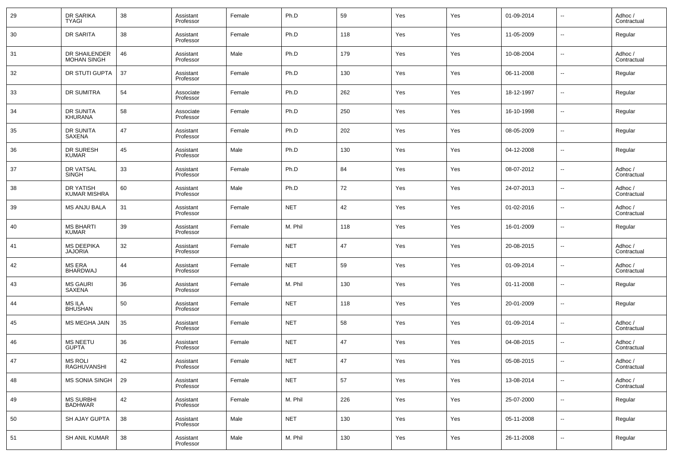| 29 | DR SARIKA<br><b>TYAGI</b>               | 38 | Assistant<br>Professor | Female | Ph.D       | 59  | Yes | Yes | 01-09-2014 | $\overline{\phantom{a}}$ | Adhoc /<br>Contractual |
|----|-----------------------------------------|----|------------------------|--------|------------|-----|-----|-----|------------|--------------------------|------------------------|
| 30 | <b>DR SARITA</b>                        | 38 | Assistant<br>Professor | Female | Ph.D       | 118 | Yes | Yes | 11-05-2009 | $\overline{\phantom{a}}$ | Regular                |
| 31 | DR SHAILENDER<br><b>MOHAN SINGH</b>     | 46 | Assistant<br>Professor | Male   | Ph.D       | 179 | Yes | Yes | 10-08-2004 | $\overline{\phantom{a}}$ | Adhoc /<br>Contractual |
| 32 | DR STUTI GUPTA                          | 37 | Assistant<br>Professor | Female | Ph.D       | 130 | Yes | Yes | 06-11-2008 | $\overline{\phantom{a}}$ | Regular                |
| 33 | <b>DR SUMITRA</b>                       | 54 | Associate<br>Professor | Female | Ph.D       | 262 | Yes | Yes | 18-12-1997 | $\overline{\phantom{a}}$ | Regular                |
| 34 | DR SUNITA<br><b>KHURANA</b>             | 58 | Associate<br>Professor | Female | Ph.D       | 250 | Yes | Yes | 16-10-1998 | $\overline{\phantom{a}}$ | Regular                |
| 35 | <b>DR SUNITA</b><br>SAXENA              | 47 | Assistant<br>Professor | Female | Ph.D       | 202 | Yes | Yes | 08-05-2009 | $\overline{\phantom{a}}$ | Regular                |
| 36 | DR SURESH<br><b>KUMAR</b>               | 45 | Assistant<br>Professor | Male   | Ph.D       | 130 | Yes | Yes | 04-12-2008 | $\overline{\phantom{a}}$ | Regular                |
| 37 | DR VATSAL<br><b>SINGH</b>               | 33 | Assistant<br>Professor | Female | Ph.D       | 84  | Yes | Yes | 08-07-2012 | $\overline{\phantom{a}}$ | Adhoc /<br>Contractual |
| 38 | <b>DR YATISH</b><br><b>KUMAR MISHRA</b> | 60 | Assistant<br>Professor | Male   | Ph.D       | 72  | Yes | Yes | 24-07-2013 | $\overline{\phantom{a}}$ | Adhoc /<br>Contractual |
| 39 | <b>MS ANJU BALA</b>                     | 31 | Assistant<br>Professor | Female | <b>NET</b> | 42  | Yes | Yes | 01-02-2016 | $\overline{\phantom{a}}$ | Adhoc /<br>Contractual |
| 40 | <b>MS BHARTI</b><br><b>KUMAR</b>        | 39 | Assistant<br>Professor | Female | M. Phil    | 118 | Yes | Yes | 16-01-2009 | $\overline{\phantom{a}}$ | Regular                |
| 41 | <b>MS DEEPIKA</b><br><b>JAJORIA</b>     | 32 | Assistant<br>Professor | Female | <b>NET</b> | 47  | Yes | Yes | 20-08-2015 | $\overline{\phantom{a}}$ | Adhoc /<br>Contractual |
| 42 | <b>MS ERA</b><br><b>BHARDWAJ</b>        | 44 | Assistant<br>Professor | Female | <b>NET</b> | 59  | Yes | Yes | 01-09-2014 | $\overline{\phantom{a}}$ | Adhoc /<br>Contractual |
| 43 | <b>MS GAURI</b><br>SAXENA               | 36 | Assistant<br>Professor | Female | M. Phil    | 130 | Yes | Yes | 01-11-2008 | $\overline{\phantom{a}}$ | Regular                |
| 44 | <b>MS ILA</b><br><b>BHUSHAN</b>         | 50 | Assistant<br>Professor | Female | <b>NET</b> | 118 | Yes | Yes | 20-01-2009 | $\overline{\phantom{a}}$ | Regular                |
| 45 | <b>MS MEGHA JAIN</b>                    | 35 | Assistant<br>Professor | Female | <b>NET</b> | 58  | Yes | Yes | 01-09-2014 | $\overline{\phantom{a}}$ | Adhoc /<br>Contractual |
| 46 | <b>MS NEETU</b><br><b>GUPTA</b>         | 36 | Assistant<br>Professor | Female | <b>NET</b> | 47  | Yes | Yes | 04-08-2015 | $\overline{\phantom{a}}$ | Adhoc /<br>Contractual |
| 47 | <b>MS ROLI</b><br>RAGHUVANSHI           | 42 | Assistant<br>Professor | Female | <b>NET</b> | 47  | Yes | Yes | 05-08-2015 | $\overline{\phantom{a}}$ | Adhoc /<br>Contractual |
| 48 | MS SONIA SINGH                          | 29 | Assistant<br>Professor | Female | <b>NET</b> | 57  | Yes | Yes | 13-08-2014 | $\overline{\phantom{a}}$ | Adhoc /<br>Contractual |
| 49 | MS SURBHI<br>BADHWAR                    | 42 | Assistant<br>Professor | Female | M. Phil    | 226 | Yes | Yes | 25-07-2000 | $\overline{\phantom{a}}$ | Regular                |
| 50 | SH AJAY GUPTA                           | 38 | Assistant<br>Professor | Male   | <b>NET</b> | 130 | Yes | Yes | 05-11-2008 | $\overline{\phantom{a}}$ | Regular                |
| 51 | SH ANIL KUMAR                           | 38 | Assistant<br>Professor | Male   | M. Phil    | 130 | Yes | Yes | 26-11-2008 | ۰.                       | Regular                |